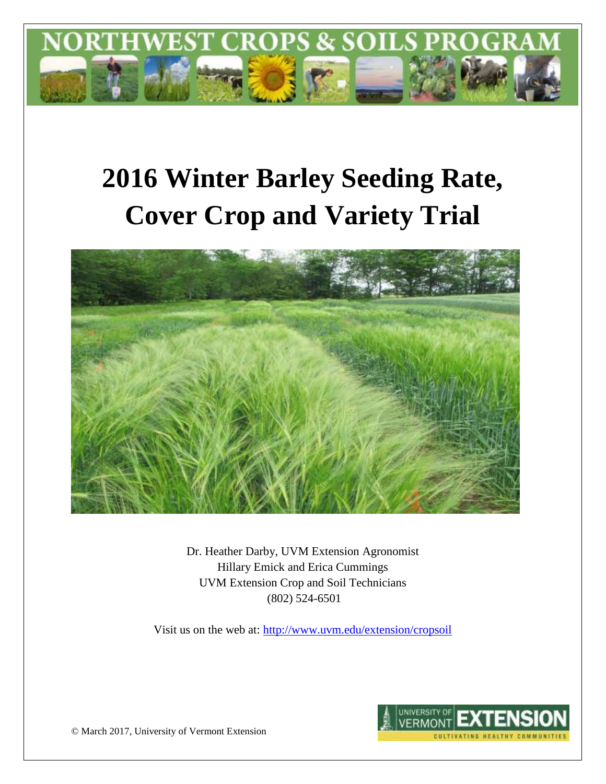

# **2016 Winter Barley Seeding Rate, Cover Crop and Variety Trial**



Dr. Heather Darby, UVM Extension Agronomist Hillary Emick and Erica Cummings UVM Extension Crop and Soil Technicians (802) 524-6501

Visit us on the web at:<http://www.uvm.edu/extension/cropsoil>



© March 2017, University of Vermont Extension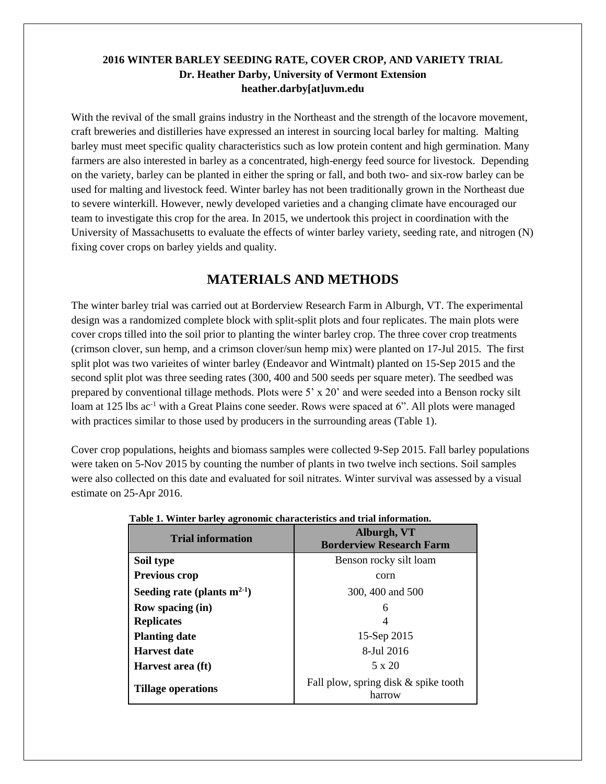## **2016 WINTER BARLEY SEEDING RATE, COVER CROP, AND VARIETY TRIAL Dr. Heather Darby, University of Vermont Extension heather.darby[at]uvm.edu**

With the revival of the small grains industry in the Northeast and the strength of the locavore movement, craft breweries and distilleries have expressed an interest in sourcing local barley for malting. Malting barley must meet specific quality characteristics such as low protein content and high germination. Many farmers are also interested in barley as a concentrated, high-energy feed source for livestock. Depending on the variety, barley can be planted in either the spring or fall, and both two- and six-row barley can be used for malting and livestock feed. Winter barley has not been traditionally grown in the Northeast due to severe winterkill. However, newly developed varieties and a changing climate have encouraged our team to investigate this crop for the area. In 2015, we undertook this project in coordination with the University of Massachusetts to evaluate the effects of winter barley variety, seeding rate, and nitrogen (N) fixing cover crops on barley yields and quality.

# **MATERIALS AND METHODS**

The winter barley trial was carried out at Borderview Research Farm in Alburgh, VT. The experimental design was a randomized complete block with split-split plots and four replicates. The main plots were cover crops tilled into the soil prior to planting the winter barley crop. The three cover crop treatments (crimson clover, sun hemp, and a crimson clover/sun hemp mix) were planted on 17-Jul 2015. The first split plot was two varieites of winter barley (Endeavor and Wintmalt) planted on 15-Sep 2015 and the second split plot was three seeding rates (300, 400 and 500 seeds per square meter). The seedbed was prepared by conventional tillage methods. Plots were 5' x 20' and were seeded into a Benson rocky silt loam at 125 lbs ac<sup>-1</sup> with a Great Plains cone seeder. Rows were spaced at 6". All plots were managed with practices similar to those used by producers in the surrounding areas (Table 1).

Cover crop populations, heights and biomass samples were collected 9-Sep 2015. Fall barley populations were taken on 5-Nov 2015 by counting the number of plants in two twelve inch sections. Soil samples were also collected on this date and evaluated for soil nitrates. Winter survival was assessed by a visual estimate on 25-Apr 2016.

| <b>Trial information</b>         | Alburgh, VT<br><b>Borderview Research Farm</b> |  |  |  |
|----------------------------------|------------------------------------------------|--|--|--|
| Soil type                        | Benson rocky silt loam                         |  |  |  |
| <b>Previous crop</b>             | corn                                           |  |  |  |
| Seeding rate (plants $m^{2-1}$ ) | 300, 400 and 500                               |  |  |  |
| Row spacing (in)                 | 6                                              |  |  |  |
| <b>Replicates</b>                |                                                |  |  |  |
| <b>Planting date</b>             | 15-Sep 2015                                    |  |  |  |
| <b>Harvest date</b>              | 8-Jul 2016                                     |  |  |  |
| Harvest area (ft)                | $5 \times 20$                                  |  |  |  |
| <b>Tillage operations</b>        | Fall plow, spring disk & spike tooth<br>harrow |  |  |  |

**Table 1. Winter barley agronomic characteristics and trial information.**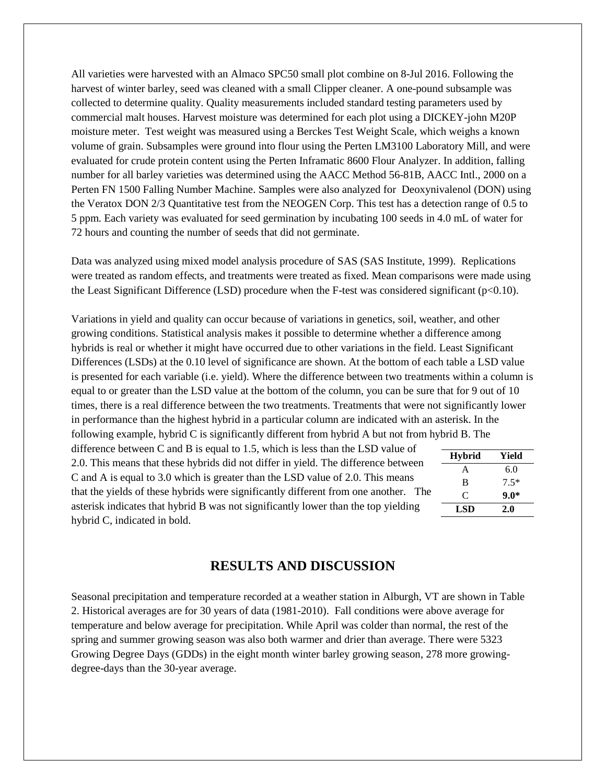All varieties were harvested with an Almaco SPC50 small plot combine on 8-Jul 2016. Following the harvest of winter barley, seed was cleaned with a small Clipper cleaner. A one-pound subsample was collected to determine quality. Quality measurements included standard testing parameters used by commercial malt houses. Harvest moisture was determined for each plot using a DICKEY-john M20P moisture meter. Test weight was measured using a Berckes Test Weight Scale, which weighs a known volume of grain. Subsamples were ground into flour using the Perten LM3100 Laboratory Mill, and were evaluated for crude protein content using the Perten Inframatic 8600 Flour Analyzer. In addition, falling number for all barley varieties was determined using the AACC Method 56-81B, AACC Intl., 2000 on a Perten FN 1500 Falling Number Machine. Samples were also analyzed for Deoxynivalenol (DON) using the Veratox DON 2/3 Quantitative test from the NEOGEN Corp. This test has a detection range of 0.5 to 5 ppm. Each variety was evaluated for seed germination by incubating 100 seeds in 4.0 mL of water for 72 hours and counting the number of seeds that did not germinate.

Data was analyzed using mixed model analysis procedure of SAS (SAS Institute, 1999). Replications were treated as random effects, and treatments were treated as fixed. Mean comparisons were made using the Least Significant Difference (LSD) procedure when the F-test was considered significant ( $p<0.10$ ).

Variations in yield and quality can occur because of variations in genetics, soil, weather, and other growing conditions. Statistical analysis makes it possible to determine whether a difference among hybrids is real or whether it might have occurred due to other variations in the field. Least Significant Differences (LSDs) at the 0.10 level of significance are shown. At the bottom of each table a LSD value is presented for each variable (i.e. yield). Where the difference between two treatments within a column is equal to or greater than the LSD value at the bottom of the column, you can be sure that for 9 out of 10 times, there is a real difference between the two treatments. Treatments that were not significantly lower in performance than the highest hybrid in a particular column are indicated with an asterisk. In the following example, hybrid C is significantly different from hybrid A but not from hybrid B. The

difference between C and B is equal to 1.5, which is less than the LSD value of 2.0. This means that these hybrids did not differ in yield. The difference between C and A is equal to 3.0 which is greater than the LSD value of 2.0. This means that the yields of these hybrids were significantly different from one another. The asterisk indicates that hybrid B was not significantly lower than the top yielding hybrid C, indicated in bold.

| <b>Hybrid</b> | Yield  |
|---------------|--------|
| A             | 6.0    |
| B             | $7.5*$ |
| C             | $9.0*$ |
| <b>LSD</b>    | 2.0    |

# **RESULTS AND DISCUSSION**

Seasonal precipitation and temperature recorded at a weather station in Alburgh, VT are shown in Table 2. Historical averages are for 30 years of data (1981-2010). Fall conditions were above average for temperature and below average for precipitation. While April was colder than normal, the rest of the spring and summer growing season was also both warmer and drier than average. There were 5323 Growing Degree Days (GDDs) in the eight month winter barley growing season, 278 more growingdegree-days than the 30-year average.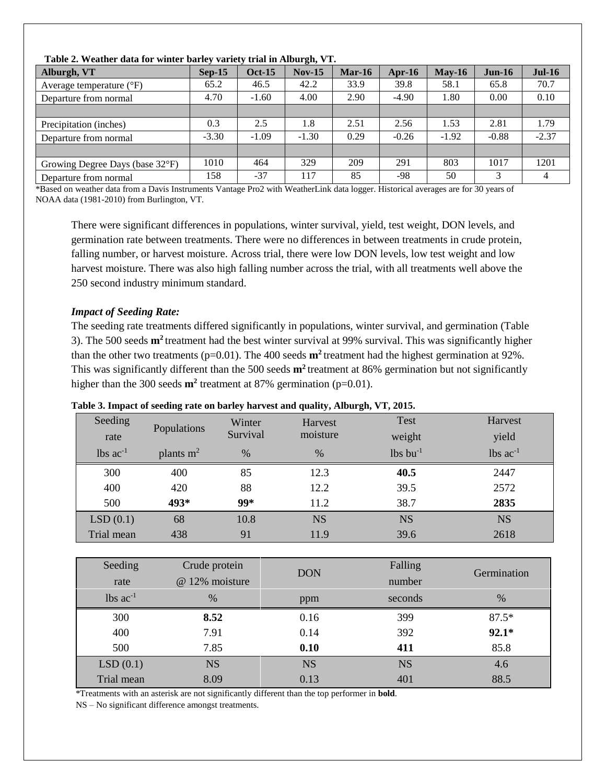| Table 2. Weather tiala for whiter barrey variety trial in Alburgh, VI. |          |               |          |               |           |          |          |          |
|------------------------------------------------------------------------|----------|---------------|----------|---------------|-----------|----------|----------|----------|
| Alburgh, VT                                                            | $Sen-15$ | <b>Oct-15</b> | $Nov-15$ | <b>Mar-16</b> | Apr- $16$ | $Mav-16$ | $Jun-16$ | $Jul-16$ |
| Average temperature $(^{\circ}F)$                                      | 65.2     | 46.5          | 42.2     | 33.9          | 39.8      | 58.1     | 65.8     | 70.7     |
| Departure from normal                                                  | 4.70     | $-1.60$       | 4.00     | 2.90          | $-4.90$   | 1.80     | 0.00     | 0.10     |
|                                                                        |          |               |          |               |           |          |          |          |
| Precipitation (inches)                                                 | 0.3      | 2.5           | 1.8      | 2.51          | 2.56      | 1.53     | 2.81     | 1.79     |
| Departure from normal                                                  | $-3.30$  | $-1.09$       | $-1.30$  | 0.29          | $-0.26$   | $-1.92$  | $-0.88$  | $-2.37$  |
|                                                                        |          |               |          |               |           |          |          |          |
| Growing Degree Days (base 32°F)                                        | 1010     | 464           | 329      | 209           | 291       | 803      | 1017     | 1201     |
| Departure from normal                                                  | 158      | $-37$         | 117      | 85            | -98       | 50       |          | 4        |

**Table 2. Weather data for winter barley variety trial in Alburgh, VT.**

\*Based on weather data from a Davis Instruments Vantage Pro2 with WeatherLink data logger. Historical averages are for 30 years of NOAA data (1981-2010) from Burlington, VT.

There were significant differences in populations, winter survival, yield, test weight, DON levels, and germination rate between treatments. There were no differences in between treatments in crude protein, falling number, or harvest moisture. Across trial, there were low DON levels, low test weight and low harvest moisture. There was also high falling number across the trial, with all treatments well above the 250 second industry minimum standard.

### *Impact of Seeding Rate:*

The seeding rate treatments differed significantly in populations, winter survival, and germination (Table 3). The 500 seeds **m<sup>2</sup>** treatment had the best winter survival at 99% survival. This was significantly higher than the other two treatments ( $p=0.01$ ). The 400 seeds  $m^2$  treatment had the highest germination at 92%. This was significantly different than the 500 seeds **m<sup>2</sup>** treatment at 86% germination but not significantly higher than the 300 seeds  $m^2$  treatment at 87% germination ( $p=0.01$ ).

| Seeding                | Populations | Winter   | Harvest   | Test                   | Harvest         |
|------------------------|-------------|----------|-----------|------------------------|-----------------|
| rate                   |             | Survival | moisture  | weight                 | yield           |
| $lbs$ ac <sup>-1</sup> | plants $m2$ | $\%$     | $\%$      | $lbs$ bu <sup>-1</sup> | $lbs$ $ac^{-1}$ |
| 300                    | 400         | 85       | 12.3      | 40.5                   | 2447            |
| 400                    | 420         | 88       | 12.2      | 39.5                   | 2572            |
| 500                    | 493*        | $99*$    | 11.2      | 38.7                   | 2835            |
| LSD(0.1)               | 68          | 10.8     | <b>NS</b> | <b>NS</b>              | <b>NS</b>       |
| Trial mean             | 438         | 91       | 11.9      | 39.6                   | 2618            |

#### **Table 3. Impact of seeding rate on barley harvest and quality, Alburgh, VT, 2015.**

| Seeding<br>rate        | Crude protein<br>@ 12% moisture | <b>DON</b> | Falling<br>number | Germination |
|------------------------|---------------------------------|------------|-------------------|-------------|
| $lbs$ ac <sup>-1</sup> | $\%$                            | ppm        | seconds           | $\%$        |
| 300                    | 8.52                            | 0.16       | 399               | $87.5*$     |
| 400                    | 7.91                            | 0.14       | 392               | $92.1*$     |
| 500                    | 7.85                            | 0.10       | 411               | 85.8        |
| LSD(0.1)               | <b>NS</b>                       | <b>NS</b>  | <b>NS</b>         | 4.6         |
| Trial mean             | 8.09                            | 0.13       | 401               | 88.5        |

\*Treatments with an asterisk are not significantly different than the top performer in **bold**.

NS – No significant difference amongst treatments.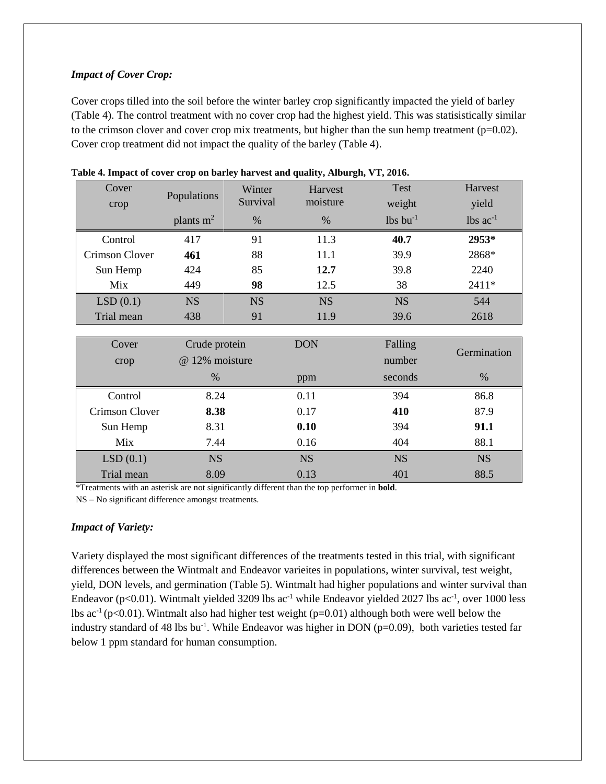## *Impact of Cover Crop:*

Cover crops tilled into the soil before the winter barley crop significantly impacted the yield of barley (Table 4). The control treatment with no cover crop had the highest yield. This was statisistically similar to the crimson clover and cover crop mix treatments, but higher than the sun hemp treatment ( $p=0.02$ ). Cover crop treatment did not impact the quality of the barley (Table 4).

| Cover<br>crop  | Populations | Winter<br>Survival | Harvest<br>moisture | <b>Test</b><br>weight  | Harvest<br>yield       |
|----------------|-------------|--------------------|---------------------|------------------------|------------------------|
|                | plants $m2$ | %                  | $\%$                | $lbs$ bu <sup>-1</sup> | $lbs$ ac <sup>-1</sup> |
| Control        | 417         | 91                 | 11.3                | 40.7                   | 2953*                  |
| Crimson Clover | 461         | 88                 | 11.1                | 39.9                   | 2868*                  |
| Sun Hemp       | 424         | 85                 | 12.7                | 39.8                   | 2240                   |
| Mix            | 449         | 98                 | 12.5                | 38                     | 2411*                  |
| LSD(0.1)       | <b>NS</b>   | <b>NS</b>          | <b>NS</b>           | <b>NS</b>              | 544                    |
| Trial mean     | 438         | 91                 | 11.9                | 39.6                   | 2618                   |
|                |             |                    |                     |                        |                        |

| Table 4. Impact of cover crop on barley harvest and quality, Alburgh, VT, 2016. |  |  |  |
|---------------------------------------------------------------------------------|--|--|--|
|---------------------------------------------------------------------------------|--|--|--|

| Cover          | Crude protein  | <b>DON</b> | Falling   | Germination |
|----------------|----------------|------------|-----------|-------------|
| crop           | @ 12% moisture |            | number    |             |
|                | $\%$           | ppm        | seconds   | $\%$        |
| Control        | 8.24           | 0.11       | 394       | 86.8        |
| Crimson Clover | 8.38           | 0.17       | 410       | 87.9        |
| Sun Hemp       | 8.31           | 0.10       | 394       | 91.1        |
| Mix            | 7.44           | 0.16       | 404       | 88.1        |
| LSD(0.1)       | <b>NS</b>      | <b>NS</b>  | <b>NS</b> | <b>NS</b>   |
| Trial mean     | 8.09           | 0.13       | 401       | 88.5        |

\*Treatments with an asterisk are not significantly different than the top performer in **bold**.

NS – No significant difference amongst treatments.

#### *Impact of Variety:*

Variety displayed the most significant differences of the treatments tested in this trial, with significant differences between the Wintmalt and Endeavor varieites in populations, winter survival, test weight, yield, DON levels, and germination (Table 5). Wintmalt had higher populations and winter survival than Endeavor (p<0.01). Wintmalt yielded 3209 lbs ac<sup>-1</sup> while Endeavor yielded 2027 lbs ac<sup>-1</sup>, over 1000 less lbs ac<sup>-1</sup> (p<0.01). Wintmalt also had higher test weight (p=0.01) although both were well below the industry standard of 48 lbs bu<sup>-1</sup>. While Endeavor was higher in DON (p=0.09), both varieties tested far below 1 ppm standard for human consumption.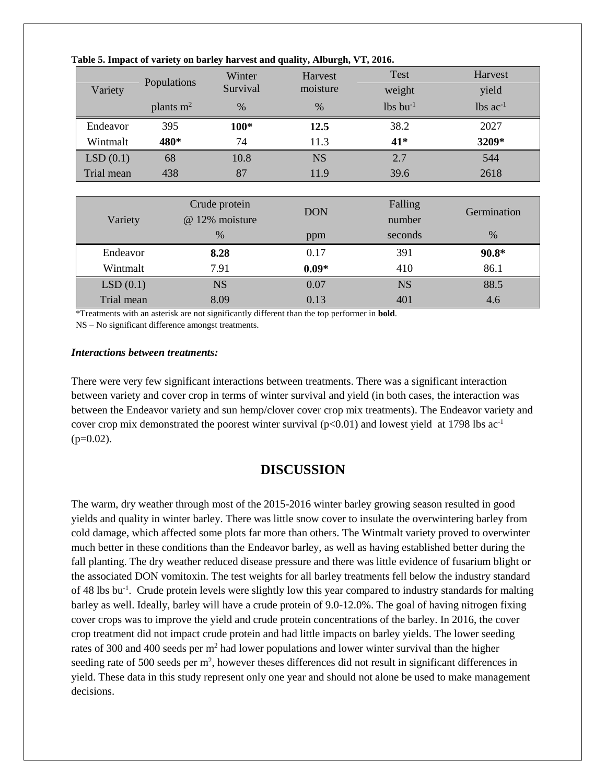| Variety    | Populations | Winter<br>Survival | Harvest<br>moisture | Test<br>weight         | Harvest<br>yield |
|------------|-------------|--------------------|---------------------|------------------------|------------------|
|            | plants $m2$ | $\%$               | $\%$                | $lbs$ bu <sup>-1</sup> | lbs $ac^{-1}$    |
| Endeavor   | 395         | $100*$             | 12.5                | 38.2                   | 2027             |
| Wintmalt   | 480*        | 74                 | 11.3                | 41*                    | 3209*            |
| LSD(0.1)   | 68          | 10.8               | <b>NS</b>           | 2.7                    | 544              |
| Trial mean | 438         | 87                 | 11.9                | 39.6                   | 2618             |
|            |             |                    |                     |                        |                  |
|            |             | Crude protein      | <b>DON</b>          | Falling                | Germination      |
| Variety    |             | @ 12% moisture     |                     | number                 |                  |
|            |             | %                  | ppm                 | seconds                | %                |
| Endeavor   |             | 8.28               | 0.17                | 391                    | $90.8*$          |
| Wintmalt   |             | 7.91               | $0.09*$             | 410                    | 86.1             |
| LSD(0.1)   |             | <b>NS</b>          | 0.07                | <b>NS</b>              | 88.5             |
| Trial mean |             | 8.09               | 0.13                | 401                    | 4.6              |

**Table 5. Impact of variety on barley harvest and quality, Alburgh, VT, 2016.**

\*Treatments with an asterisk are not significantly different than the top performer in **bold**.

NS – No significant difference amongst treatments.

#### *Interactions between treatments:*

There were very few significant interactions between treatments. There was a significant interaction between variety and cover crop in terms of winter survival and yield (in both cases, the interaction was between the Endeavor variety and sun hemp/clover cover crop mix treatments). The Endeavor variety and cover crop mix demonstrated the poorest winter survival (p<0.01) and lowest yield at 1798 lbs ac<sup>-1</sup>  $(p=0.02)$ .

# **DISCUSSION**

The warm, dry weather through most of the 2015-2016 winter barley growing season resulted in good yields and quality in winter barley. There was little snow cover to insulate the overwintering barley from cold damage, which affected some plots far more than others. The Wintmalt variety proved to overwinter much better in these conditions than the Endeavor barley, as well as having established better during the fall planting. The dry weather reduced disease pressure and there was little evidence of fusarium blight or the associated DON vomitoxin. The test weights for all barley treatments fell below the industry standard of 48 lbs bu<sup>-1</sup>. Crude protein levels were slightly low this year compared to industry standards for malting barley as well. Ideally, barley will have a crude protein of 9.0-12.0%. The goal of having nitrogen fixing cover crops was to improve the yield and crude protein concentrations of the barley. In 2016, the cover crop treatment did not impact crude protein and had little impacts on barley yields. The lower seeding rates of 300 and 400 seeds per m<sup>2</sup> had lower populations and lower winter survival than the higher seeding rate of 500 seeds per  $m^2$ , however theses differences did not result in significant differences in yield. These data in this study represent only one year and should not alone be used to make management decisions.